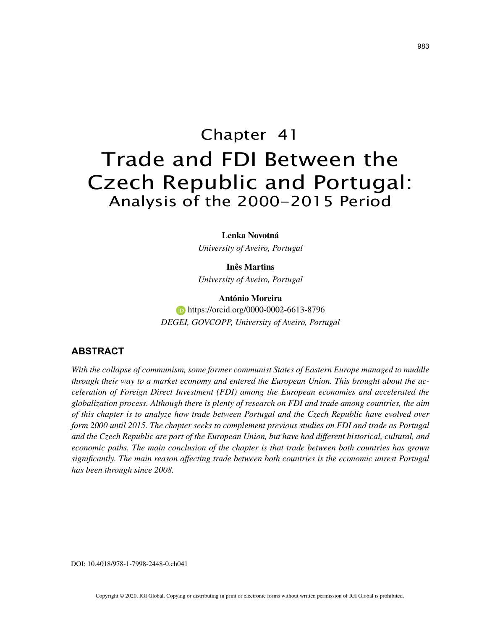# Chapter 41 Trade and FDI Between the Czech Republic and Portugal: Analysis of the 2000-2015 Period

**Lenka Novotná**

*University of Aveiro, Portugal*

**Inês Martins** *University of Aveiro, Portugal*

**António Moreira https://orcid.org/0000-0002-6613-8796** *DEGEI, GOVCOPP, University of Aveiro, Portugal*

# **ABSTRACT**

*With the collapse of communism, some former communist States of Eastern Europe managed to muddle through their way to a market economy and entered the European Union. This brought about the acceleration of Foreign Direct Investment (FDI) among the European economies and accelerated the globalization process. Although there is plenty of research on FDI and trade among countries, the aim of this chapter is to analyze how trade between Portugal and the Czech Republic have evolved over form 2000 until 2015. The chapter seeks to complement previous studies on FDI and trade as Portugal and the Czech Republic are part of the European Union, but have had different historical, cultural, and economic paths. The main conclusion of the chapter is that trade between both countries has grown significantly. The main reason affecting trade between both countries is the economic unrest Portugal has been through since 2008.*

DOI: 10.4018/978-1-7998-2448-0.ch041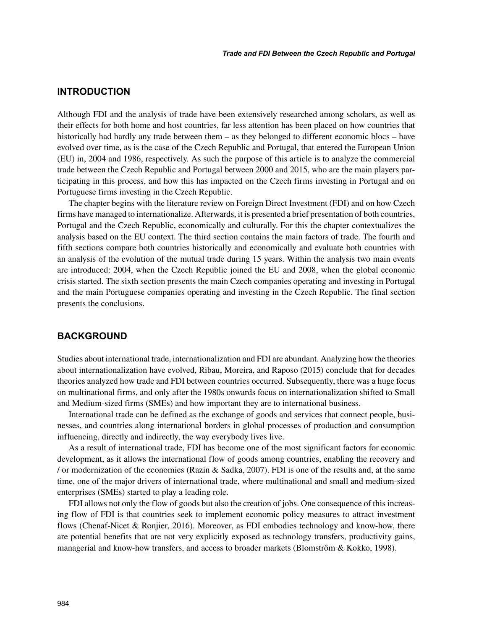## **INTRODUCTION**

Although FDI and the analysis of trade have been extensively researched among scholars, as well as their effects for both home and host countries, far less attention has been placed on how countries that historically had hardly any trade between them – as they belonged to different economic blocs – have evolved over time, as is the case of the Czech Republic and Portugal, that entered the European Union (EU) in, 2004 and 1986, respectively. As such the purpose of this article is to analyze the commercial trade between the Czech Republic and Portugal between 2000 and 2015, who are the main players participating in this process, and how this has impacted on the Czech firms investing in Portugal and on Portuguese firms investing in the Czech Republic.

The chapter begins with the literature review on Foreign Direct Investment (FDI) and on how Czech firms have managed to internationalize. Afterwards, it is presented a brief presentation of both countries, Portugal and the Czech Republic, economically and culturally. For this the chapter contextualizes the analysis based on the EU context. The third section contains the main factors of trade. The fourth and fifth sections compare both countries historically and economically and evaluate both countries with an analysis of the evolution of the mutual trade during 15 years. Within the analysis two main events are introduced: 2004, when the Czech Republic joined the EU and 2008, when the global economic crisis started. The sixth section presents the main Czech companies operating and investing in Portugal and the main Portuguese companies operating and investing in the Czech Republic. The final section presents the conclusions.

## **BACKGROUND**

Studies about international trade, internationalization and FDI are abundant. Analyzing how the theories about internationalization have evolved, Ribau, Moreira, and Raposo (2015) conclude that for decades theories analyzed how trade and FDI between countries occurred. Subsequently, there was a huge focus on multinational firms, and only after the 1980s onwards focus on internationalization shifted to Small and Medium-sized firms (SMEs) and how important they are to international business.

International trade can be defined as the exchange of goods and services that connect people, businesses, and countries along international borders in global processes of production and consumption influencing, directly and indirectly, the way everybody lives live.

As a result of international trade, FDI has become one of the most significant factors for economic development, as it allows the international flow of goods among countries, enabling the recovery and / or modernization of the economies (Razin & Sadka, 2007). FDI is one of the results and, at the same time, one of the major drivers of international trade, where multinational and small and medium-sized enterprises (SMEs) started to play a leading role.

FDI allows not only the flow of goods but also the creation of jobs. One consequence of this increasing flow of FDI is that countries seek to implement economic policy measures to attract investment flows (Chenaf-Nicet & Ronjier, 2016). Moreover, as FDI embodies technology and know-how, there are potential benefits that are not very explicitly exposed as technology transfers, productivity gains, managerial and know-how transfers, and access to broader markets (Blomström & Kokko, 1998).